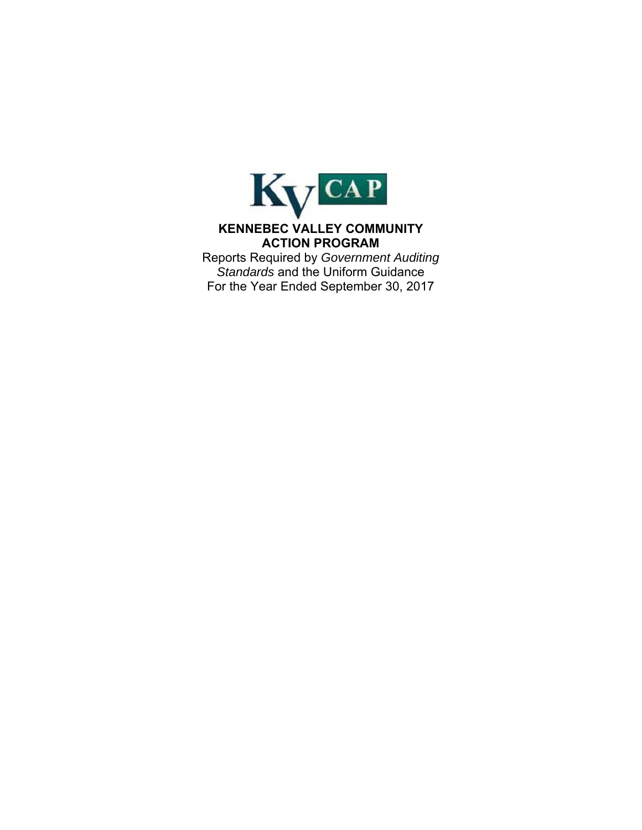

# **KENNEBEC VALLEY COMMUNITY ACTION PROGRAM**

Reports Required by *Government Auditing Standards* and the Uniform Guidance For the Year Ended September 30, 2017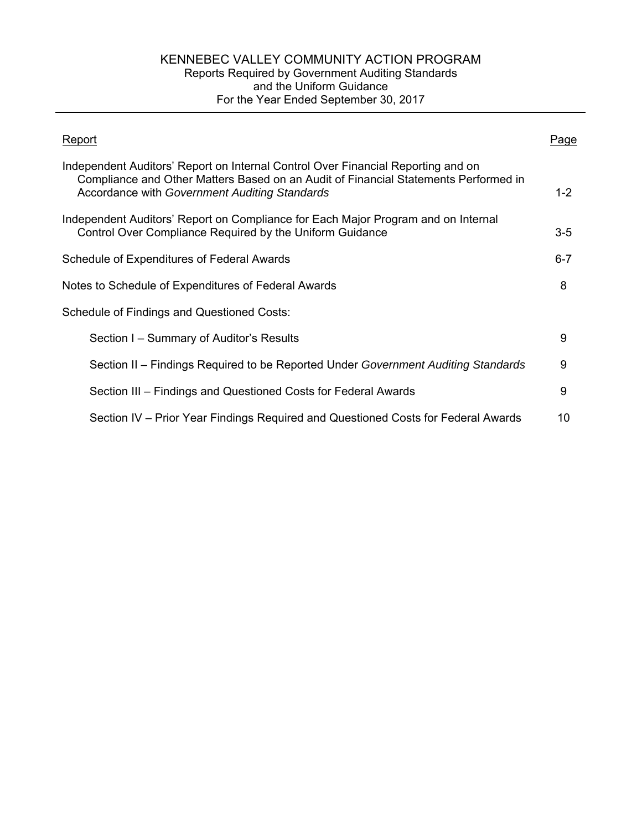## KENNEBEC VALLEY COMMUNITY ACTION PROGRAM Reports Required by Government Auditing Standards and the Uniform Guidance For the Year Ended September 30, 2017

| Report                                                                                                                                                                                                                   | <u>Page</u> |
|--------------------------------------------------------------------------------------------------------------------------------------------------------------------------------------------------------------------------|-------------|
| Independent Auditors' Report on Internal Control Over Financial Reporting and on<br>Compliance and Other Matters Based on an Audit of Financial Statements Performed in<br>Accordance with Government Auditing Standards | $1 - 2$     |
| Independent Auditors' Report on Compliance for Each Major Program and on Internal<br>Control Over Compliance Required by the Uniform Guidance                                                                            | $3 - 5$     |
| Schedule of Expenditures of Federal Awards                                                                                                                                                                               | $6 - 7$     |
| Notes to Schedule of Expenditures of Federal Awards                                                                                                                                                                      | 8           |
| <b>Schedule of Findings and Questioned Costs:</b>                                                                                                                                                                        |             |
| Section I – Summary of Auditor's Results                                                                                                                                                                                 | 9           |
| Section II – Findings Required to be Reported Under Government Auditing Standards                                                                                                                                        | 9           |
| Section III – Findings and Questioned Costs for Federal Awards                                                                                                                                                           | 9           |
| Section IV – Prior Year Findings Required and Questioned Costs for Federal Awards                                                                                                                                        | 10          |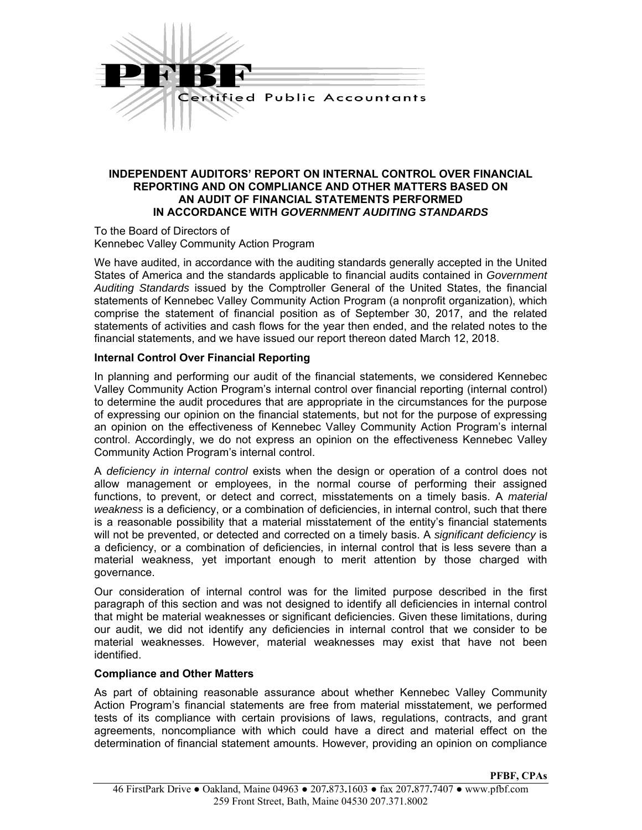

#### **INDEPENDENT AUDITORS' REPORT ON INTERNAL CONTROL OVER FINANCIAL REPORTING AND ON COMPLIANCE AND OTHER MATTERS BASED ON AN AUDIT OF FINANCIAL STATEMENTS PERFORMED IN ACCORDANCE WITH** *GOVERNMENT AUDITING STANDARDS*

To the Board of Directors of Kennebec Valley Community Action Program

We have audited, in accordance with the auditing standards generally accepted in the United States of America and the standards applicable to financial audits contained in *Government Auditing Standards* issued by the Comptroller General of the United States, the financial statements of Kennebec Valley Community Action Program (a nonprofit organization), which comprise the statement of financial position as of September 30, 2017, and the related statements of activities and cash flows for the year then ended, and the related notes to the financial statements, and we have issued our report thereon dated March 12, 2018.

## **Internal Control Over Financial Reporting**

In planning and performing our audit of the financial statements, we considered Kennebec Valley Community Action Program's internal control over financial reporting (internal control) to determine the audit procedures that are appropriate in the circumstances for the purpose of expressing our opinion on the financial statements, but not for the purpose of expressing an opinion on the effectiveness of Kennebec Valley Community Action Program's internal control. Accordingly, we do not express an opinion on the effectiveness Kennebec Valley Community Action Program's internal control.

A *deficiency in internal control* exists when the design or operation of a control does not allow management or employees, in the normal course of performing their assigned functions, to prevent, or detect and correct, misstatements on a timely basis. A *material weakness* is a deficiency, or a combination of deficiencies, in internal control, such that there is a reasonable possibility that a material misstatement of the entity's financial statements will not be prevented, or detected and corrected on a timely basis. A *significant deficiency* is a deficiency, or a combination of deficiencies, in internal control that is less severe than a material weakness, yet important enough to merit attention by those charged with governance.

Our consideration of internal control was for the limited purpose described in the first paragraph of this section and was not designed to identify all deficiencies in internal control that might be material weaknesses or significant deficiencies. Given these limitations, during our audit, we did not identify any deficiencies in internal control that we consider to be material weaknesses. However, material weaknesses may exist that have not been identified.

#### **Compliance and Other Matters**

As part of obtaining reasonable assurance about whether Kennebec Valley Community Action Program's financial statements are free from material misstatement, we performed tests of its compliance with certain provisions of laws, regulations, contracts, and grant agreements, noncompliance with which could have a direct and material effect on the determination of financial statement amounts. However, providing an opinion on compliance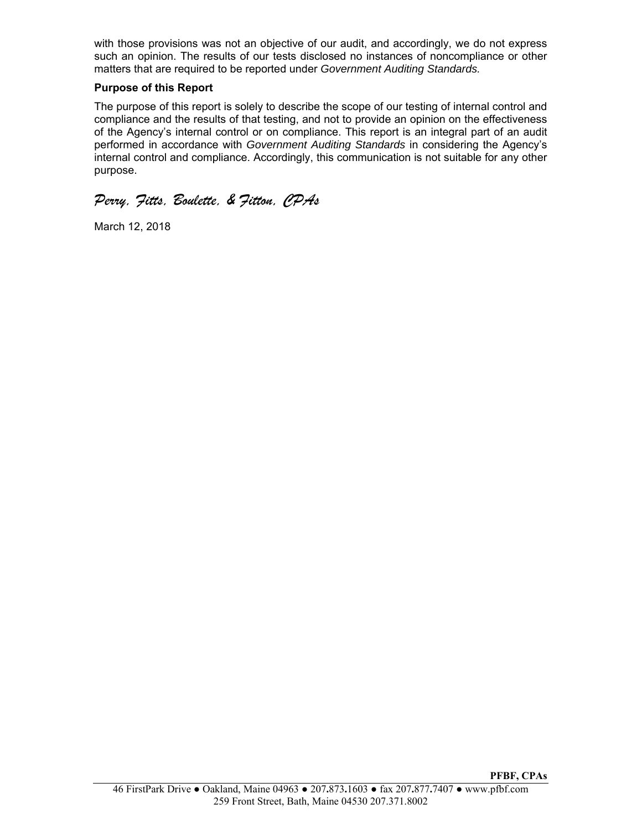with those provisions was not an objective of our audit, and accordingly, we do not express such an opinion. The results of our tests disclosed no instances of noncompliance or other matters that are required to be reported under *Government Auditing Standards.*

## **Purpose of this Report**

The purpose of this report is solely to describe the scope of our testing of internal control and compliance and the results of that testing, and not to provide an opinion on the effectiveness of the Agency's internal control or on compliance. This report is an integral part of an audit performed in accordance with *Government Auditing Standards* in considering the Agency's internal control and compliance. Accordingly, this communication is not suitable for any other purpose.

*Perry, Fitts, Boulette, & Fitton, CPAs* 

March 12, 2018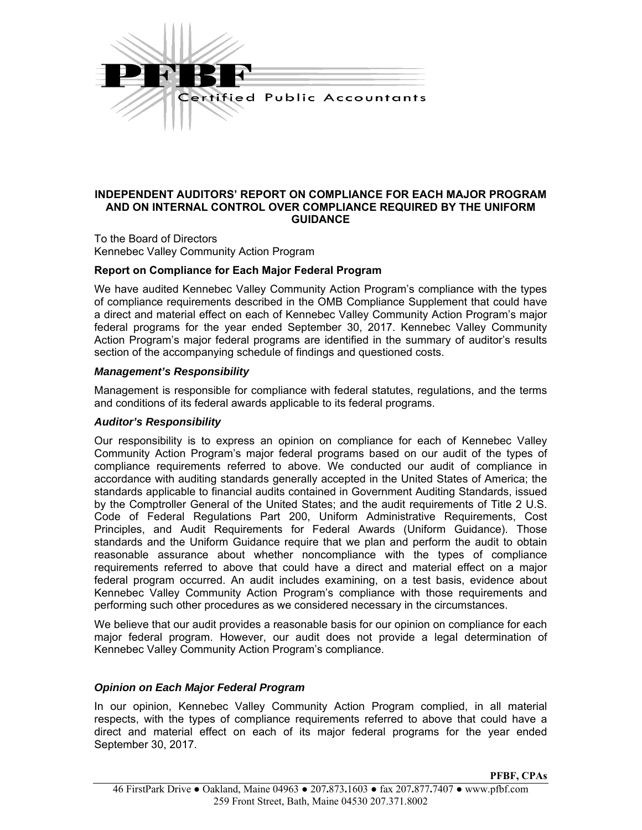

#### **INDEPENDENT AUDITORS' REPORT ON COMPLIANCE FOR EACH MAJOR PROGRAM AND ON INTERNAL CONTROL OVER COMPLIANCE REQUIRED BY THE UNIFORM GUIDANCE**

To the Board of Directors Kennebec Valley Community Action Program

#### **Report on Compliance for Each Major Federal Program**

We have audited Kennebec Valley Community Action Program's compliance with the types of compliance requirements described in the OMB Compliance Supplement that could have a direct and material effect on each of Kennebec Valley Community Action Program's major federal programs for the year ended September 30, 2017. Kennebec Valley Community Action Program's major federal programs are identified in the summary of auditor's results section of the accompanying schedule of findings and questioned costs.

#### *Management's Responsibility*

Management is responsible for compliance with federal statutes, regulations, and the terms and conditions of its federal awards applicable to its federal programs.

#### *Auditor's Responsibility*

Our responsibility is to express an opinion on compliance for each of Kennebec Valley Community Action Program's major federal programs based on our audit of the types of compliance requirements referred to above. We conducted our audit of compliance in accordance with auditing standards generally accepted in the United States of America; the standards applicable to financial audits contained in Government Auditing Standards, issued by the Comptroller General of the United States; and the audit requirements of Title 2 U.S. Code of Federal Regulations Part 200, Uniform Administrative Requirements, Cost Principles, and Audit Requirements for Federal Awards (Uniform Guidance). Those standards and the Uniform Guidance require that we plan and perform the audit to obtain reasonable assurance about whether noncompliance with the types of compliance requirements referred to above that could have a direct and material effect on a major federal program occurred. An audit includes examining, on a test basis, evidence about Kennebec Valley Community Action Program's compliance with those requirements and performing such other procedures as we considered necessary in the circumstances.

We believe that our audit provides a reasonable basis for our opinion on compliance for each major federal program. However, our audit does not provide a legal determination of Kennebec Valley Community Action Program's compliance.

#### *Opinion on Each Major Federal Program*

In our opinion, Kennebec Valley Community Action Program complied, in all material respects, with the types of compliance requirements referred to above that could have a direct and material effect on each of its major federal programs for the year ended September 30, 2017.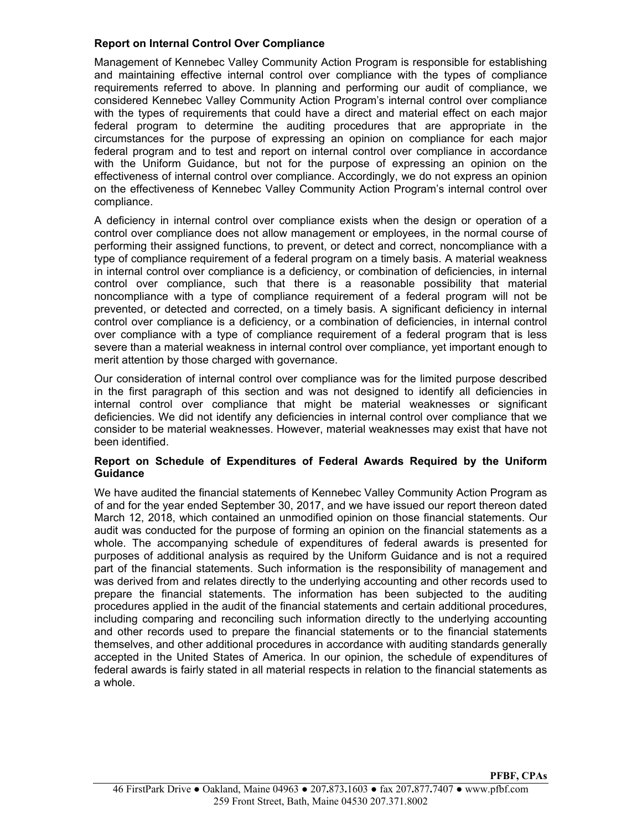## **Report on Internal Control Over Compliance**

Management of Kennebec Valley Community Action Program is responsible for establishing and maintaining effective internal control over compliance with the types of compliance requirements referred to above. In planning and performing our audit of compliance, we considered Kennebec Valley Community Action Program's internal control over compliance with the types of requirements that could have a direct and material effect on each major federal program to determine the auditing procedures that are appropriate in the circumstances for the purpose of expressing an opinion on compliance for each major federal program and to test and report on internal control over compliance in accordance with the Uniform Guidance, but not for the purpose of expressing an opinion on the effectiveness of internal control over compliance. Accordingly, we do not express an opinion on the effectiveness of Kennebec Valley Community Action Program's internal control over compliance.

A deficiency in internal control over compliance exists when the design or operation of a control over compliance does not allow management or employees, in the normal course of performing their assigned functions, to prevent, or detect and correct, noncompliance with a type of compliance requirement of a federal program on a timely basis. A material weakness in internal control over compliance is a deficiency, or combination of deficiencies, in internal control over compliance, such that there is a reasonable possibility that material noncompliance with a type of compliance requirement of a federal program will not be prevented, or detected and corrected, on a timely basis. A significant deficiency in internal control over compliance is a deficiency, or a combination of deficiencies, in internal control over compliance with a type of compliance requirement of a federal program that is less severe than a material weakness in internal control over compliance, yet important enough to merit attention by those charged with governance.

Our consideration of internal control over compliance was for the limited purpose described in the first paragraph of this section and was not designed to identify all deficiencies in internal control over compliance that might be material weaknesses or significant deficiencies. We did not identify any deficiencies in internal control over compliance that we consider to be material weaknesses. However, material weaknesses may exist that have not been identified.

#### **Report on Schedule of Expenditures of Federal Awards Required by the Uniform Guidance**

We have audited the financial statements of Kennebec Valley Community Action Program as of and for the year ended September 30, 2017, and we have issued our report thereon dated March 12, 2018, which contained an unmodified opinion on those financial statements. Our audit was conducted for the purpose of forming an opinion on the financial statements as a whole. The accompanying schedule of expenditures of federal awards is presented for purposes of additional analysis as required by the Uniform Guidance and is not a required part of the financial statements. Such information is the responsibility of management and was derived from and relates directly to the underlying accounting and other records used to prepare the financial statements. The information has been subjected to the auditing procedures applied in the audit of the financial statements and certain additional procedures, including comparing and reconciling such information directly to the underlying accounting and other records used to prepare the financial statements or to the financial statements themselves, and other additional procedures in accordance with auditing standards generally accepted in the United States of America. In our opinion, the schedule of expenditures of federal awards is fairly stated in all material respects in relation to the financial statements as a whole.

**PFBF, CPAs**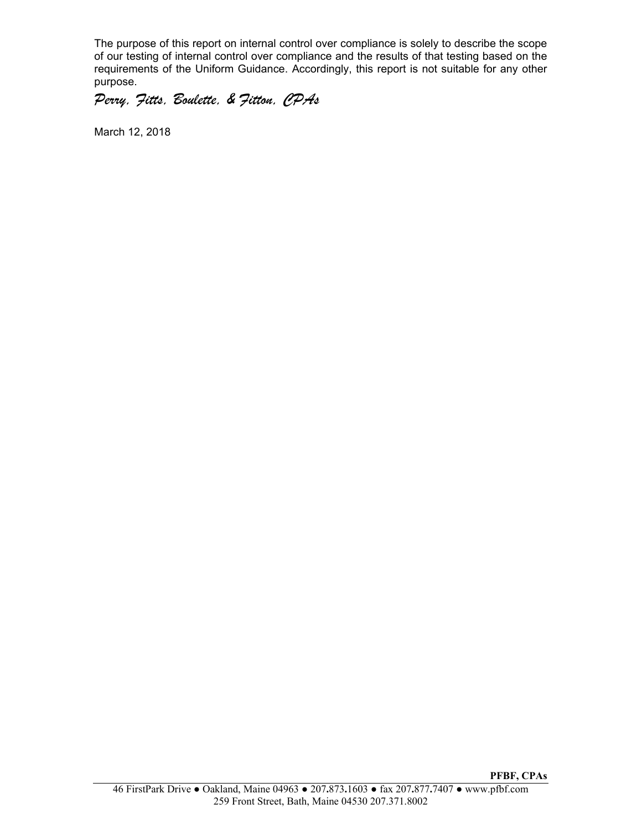The purpose of this report on internal control over compliance is solely to describe the scope of our testing of internal control over compliance and the results of that testing based on the requirements of the Uniform Guidance. Accordingly, this report is not suitable for any other purpose.

*Perry, Fitts, Boulette, & Fitton, CPAs* 

March 12, 2018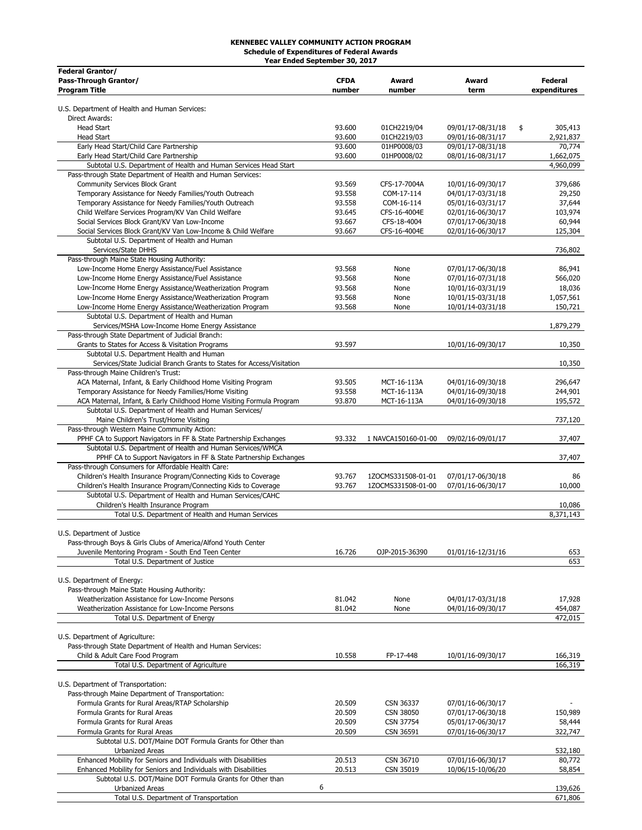#### **KENNEBEC VALLEY COMMUNITY ACTION PROGRAM Schedule of Expenditures of Federal Awards**

**Year Ended September 30, 2017**

| <b>Federal Grantor/</b>                                                                                                       |                  |                                      |                                        |               |        |
|-------------------------------------------------------------------------------------------------------------------------------|------------------|--------------------------------------|----------------------------------------|---------------|--------|
| Pass-Through Grantor/                                                                                                         | <b>CFDA</b>      | Award                                | Award                                  | Federal       |        |
| <b>Program Title</b>                                                                                                          | number           | number                               | term                                   | expenditures  |        |
| U.S. Department of Health and Human Services:                                                                                 |                  |                                      |                                        |               |        |
| Direct Awards:                                                                                                                |                  |                                      |                                        |               |        |
| <b>Head Start</b>                                                                                                             | 93.600           | 01CH2219/04                          | 09/01/17-08/31/18                      | 305,413<br>\$ |        |
| <b>Head Start</b>                                                                                                             | 93.600           | 01CH2219/03                          | 09/01/16-08/31/17                      | 2,921,837     |        |
| Early Head Start/Child Care Partnership                                                                                       | 93.600           | 01HP0008/03                          | 09/01/17-08/31/18                      |               | 70,774 |
| Early Head Start/Child Care Partnership                                                                                       | 93.600           | 01HP0008/02                          | 08/01/16-08/31/17                      | 1,662,075     |        |
| Subtotal U.S. Department of Health and Human Services Head Start                                                              |                  |                                      |                                        | 4,960,099     |        |
| Pass-through State Department of Health and Human Services:                                                                   |                  |                                      |                                        |               |        |
| <b>Community Services Block Grant</b>                                                                                         | 93.569           | CFS-17-7004A                         | 10/01/16-09/30/17                      | 379,686       |        |
| Temporary Assistance for Needy Families/Youth Outreach                                                                        | 93.558           | COM-17-114                           | 04/01/17-03/31/18                      |               | 29,250 |
| Temporary Assistance for Needy Families/Youth Outreach                                                                        | 93.558           | COM-16-114                           | 05/01/16-03/31/17                      |               | 37,644 |
| Child Welfare Services Program/KV Van Child Welfare                                                                           | 93.645           | CFS-16-4004E                         | 02/01/16-06/30/17                      | 103,974       |        |
| Social Services Block Grant/KV Van Low-Income                                                                                 | 93.667           | CFS-18-4004                          | 07/01/17-06/30/18                      |               | 60,944 |
| Social Services Block Grant/KV Van Low-Income & Child Welfare                                                                 | 93.667           | CFS-16-4004E                         | 02/01/16-06/30/17                      | 125,304       |        |
| Subtotal U.S. Department of Health and Human                                                                                  |                  |                                      |                                        |               |        |
| Services/State DHHS                                                                                                           |                  |                                      |                                        | 736,802       |        |
| Pass-through Maine State Housing Authority:                                                                                   |                  |                                      |                                        |               |        |
| Low-Income Home Energy Assistance/Fuel Assistance<br>Low-Income Home Energy Assistance/Fuel Assistance                        | 93.568<br>93.568 | None<br>None                         | 07/01/17-06/30/18                      | 566,020       | 86,941 |
| Low-Income Home Energy Assistance/Weatherization Program                                                                      | 93.568           | None                                 | 07/01/16-07/31/18<br>10/01/16-03/31/19 |               | 18,036 |
| Low-Income Home Energy Assistance/Weatherization Program                                                                      | 93.568           | None                                 | 10/01/15-03/31/18                      | 1,057,561     |        |
| Low-Income Home Energy Assistance/Weatherization Program                                                                      | 93.568           | None                                 | 10/01/14-03/31/18                      | 150,721       |        |
| Subtotal U.S. Department of Health and Human                                                                                  |                  |                                      |                                        |               |        |
| Services/MSHA Low-Income Home Energy Assistance                                                                               |                  |                                      |                                        | 1,879,279     |        |
| Pass-through State Department of Judicial Branch:                                                                             |                  |                                      |                                        |               |        |
| Grants to States for Access & Visitation Programs                                                                             | 93.597           |                                      | 10/01/16-09/30/17                      |               | 10,350 |
| Subtotal U.S. Department Health and Human                                                                                     |                  |                                      |                                        |               |        |
| Services/State Judicial Branch Grants to States for Access/Visitation                                                         |                  |                                      |                                        |               | 10,350 |
| Pass-through Maine Children's Trust:                                                                                          |                  |                                      |                                        |               |        |
| ACA Maternal, Infant, & Early Childhood Home Visiting Program                                                                 | 93.505           | MCT-16-113A                          | 04/01/16-09/30/18                      | 296,647       |        |
| Temporary Assistance for Needy Families/Home Visiting                                                                         | 93.558           | MCT-16-113A                          | 04/01/16-09/30/18                      | 244,901       |        |
| ACA Maternal, Infant, & Early Childhood Home Visiting Formula Program                                                         | 93.870           | MCT-16-113A                          | 04/01/16-09/30/18                      | 195,572       |        |
| Subtotal U.S. Department of Health and Human Services/                                                                        |                  |                                      |                                        |               |        |
| Maine Children's Trust/Home Visiting                                                                                          |                  |                                      |                                        | 737,120       |        |
| Pass-through Western Maine Community Action:                                                                                  |                  |                                      |                                        |               |        |
| PPHF CA to Support Navigators in FF & State Partnership Exchanges                                                             | 93.332           | 1 NAVCA150160-01-00                  | 09/02/16-09/01/17                      |               | 37,407 |
| Subtotal U.S. Department of Health and Human Services/WMCA                                                                    |                  |                                      |                                        |               |        |
| PPHF CA to Support Navigators in FF & State Partnership Exchanges                                                             |                  |                                      |                                        |               | 37,407 |
| Pass-through Consumers for Affordable Health Care:                                                                            |                  |                                      |                                        |               |        |
| Children's Health Insurance Program/Connecting Kids to Coverage                                                               | 93.767           | 1ZOCMS331508-01-01                   | 07/01/17-06/30/18                      |               | 86     |
| Children's Health Insurance Program/Connecting Kids to Coverage<br>Subtotal U.S. Department of Health and Human Services/CAHC | 93.767           | 1ZOCMS331508-01-00                   | 07/01/16-06/30/17                      |               | 10,000 |
| Children's Health Insurance Program                                                                                           |                  |                                      |                                        |               | 10,086 |
| Total U.S. Department of Health and Human Services                                                                            |                  |                                      |                                        | 8,371,143     |        |
|                                                                                                                               |                  |                                      |                                        |               |        |
| U.S. Department of Justice                                                                                                    |                  |                                      |                                        |               |        |
| Pass-through Boys & Girls Clubs of America/Alfond Youth Center                                                                |                  |                                      |                                        |               |        |
| Juvenile Mentoring Program - South End Teen Center                                                                            | 16.726           | OJP-2015-36390                       | 01/01/16-12/31/16                      |               | 653    |
| Total U.S. Department of Justice                                                                                              |                  |                                      |                                        |               | 653    |
|                                                                                                                               |                  |                                      |                                        |               |        |
| U.S. Department of Energy:                                                                                                    |                  |                                      |                                        |               |        |
| Pass-through Maine State Housing Authority:                                                                                   |                  |                                      |                                        |               |        |
| Weatherization Assistance for Low-Income Persons                                                                              | 81.042           | None                                 | 04/01/17-03/31/18                      |               | 17,928 |
| Weatherization Assistance for Low-Income Persons                                                                              | 81.042           | None                                 | 04/01/16-09/30/17                      | 454,087       |        |
| Total U.S. Department of Energy                                                                                               |                  |                                      |                                        | 472,015       |        |
|                                                                                                                               |                  |                                      |                                        |               |        |
| U.S. Department of Agriculture:                                                                                               |                  |                                      |                                        |               |        |
| Pass-through State Department of Health and Human Services:                                                                   |                  |                                      |                                        |               |        |
| Child & Adult Care Food Program                                                                                               | 10.558           | FP-17-448                            | 10/01/16-09/30/17                      | 166,319       |        |
| Total U.S. Department of Agriculture                                                                                          |                  |                                      |                                        | 166,319       |        |
|                                                                                                                               |                  |                                      |                                        |               |        |
| U.S. Department of Transportation:                                                                                            |                  |                                      |                                        |               |        |
| Pass-through Maine Department of Transportation:                                                                              |                  |                                      |                                        |               |        |
| Formula Grants for Rural Areas/RTAP Scholarship<br>Formula Grants for Rural Areas                                             | 20.509<br>20.509 | <b>CSN 36337</b><br><b>CSN 38050</b> | 07/01/16-06/30/17                      | 150,989       |        |
| Formula Grants for Rural Areas                                                                                                | 20.509           | <b>CSN 37754</b>                     | 07/01/17-06/30/18<br>05/01/17-06/30/17 |               | 58,444 |
| Formula Grants for Rural Areas                                                                                                | 20.509           |                                      | 07/01/16-06/30/17                      | 322,747       |        |
| Subtotal U.S. DOT/Maine DOT Formula Grants for Other than                                                                     |                  | CSN 36591                            |                                        |               |        |
| <b>Urbanized Areas</b>                                                                                                        |                  |                                      |                                        | 532,180       |        |
| Enhanced Mobility for Seniors and Individuals with Disabilities                                                               | 20.513           | CSN 36710                            | 07/01/16-06/30/17                      |               | 80,772 |
| Enhanced Mobility for Seniors and Individuals with Disabilities                                                               | 20.513           | CSN 35019                            | 10/06/15-10/06/20                      |               | 58,854 |
| Subtotal U.S. DOT/Maine DOT Formula Grants for Other than                                                                     |                  |                                      |                                        |               |        |
| 6<br><b>Urbanized Areas</b>                                                                                                   |                  |                                      |                                        | 139,626       |        |
| Total U.S. Department of Transportation                                                                                       |                  |                                      |                                        | 671,806       |        |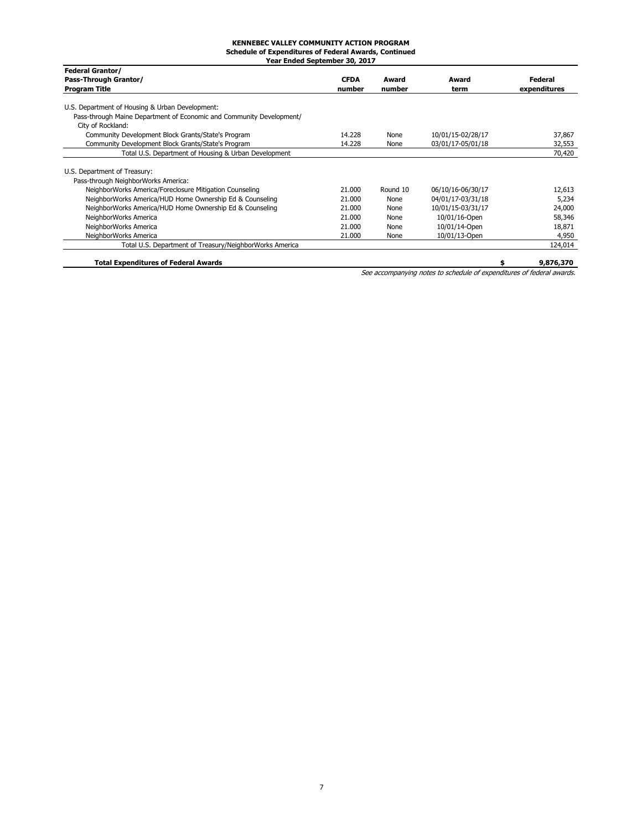#### **KENNEBEC VALLEY COMMUNITY ACTION PROGRAM**

**Schedule of Expenditures of Federal Awards, Continued Year Ended September 30, 2017**

| <b>Federal Grantor/</b>                                              |             |             |                   |              |
|----------------------------------------------------------------------|-------------|-------------|-------------------|--------------|
| Pass-Through Grantor/                                                | <b>CFDA</b> | Award       | Award             | Federal      |
| <b>Program Title</b>                                                 | number      | number      | term              | expenditures |
|                                                                      |             |             |                   |              |
| U.S. Department of Housing & Urban Development:                      |             |             |                   |              |
| Pass-through Maine Department of Economic and Community Development/ |             |             |                   |              |
| City of Rockland:                                                    |             |             |                   |              |
| Community Development Block Grants/State's Program                   | 14.228      | None        | 10/01/15-02/28/17 | 37,867       |
| Community Development Block Grants/State's Program                   | 14.228      | None        | 03/01/17-05/01/18 | 32,553       |
| Total U.S. Department of Housing & Urban Development                 |             |             |                   | 70,420       |
|                                                                      |             |             |                   |              |
| U.S. Department of Treasury:                                         |             |             |                   |              |
| Pass-through NeighborWorks America:                                  |             |             |                   |              |
| NeighborWorks America/Foreclosure Mitigation Counseling              | 21.000      | Round 10    | 06/10/16-06/30/17 | 12,613       |
| NeighborWorks America/HUD Home Ownership Ed & Counseling             | 21,000      | None        | 04/01/17-03/31/18 | 5,234        |
| NeighborWorks America/HUD Home Ownership Ed & Counseling             | 21,000      | None        | 10/01/15-03/31/17 | 24,000       |
| NeighborWorks America                                                | 21,000      | None        | 10/01/16-Open     | 58,346       |
| NeighborWorks America                                                | 21.000      | <b>None</b> | 10/01/14-Open     | 18,871       |
| NeighborWorks America                                                | 21,000      | None        | 10/01/13-Open     | 4,950        |
| Total U.S. Department of Treasury/NeighborWorks America              |             |             |                   | 124,014      |
|                                                                      |             |             |                   |              |

 **Total Expenditures of Federal Awards \$ 9,876,370** 

See accompanying notes to schedule of expenditures of federal awards.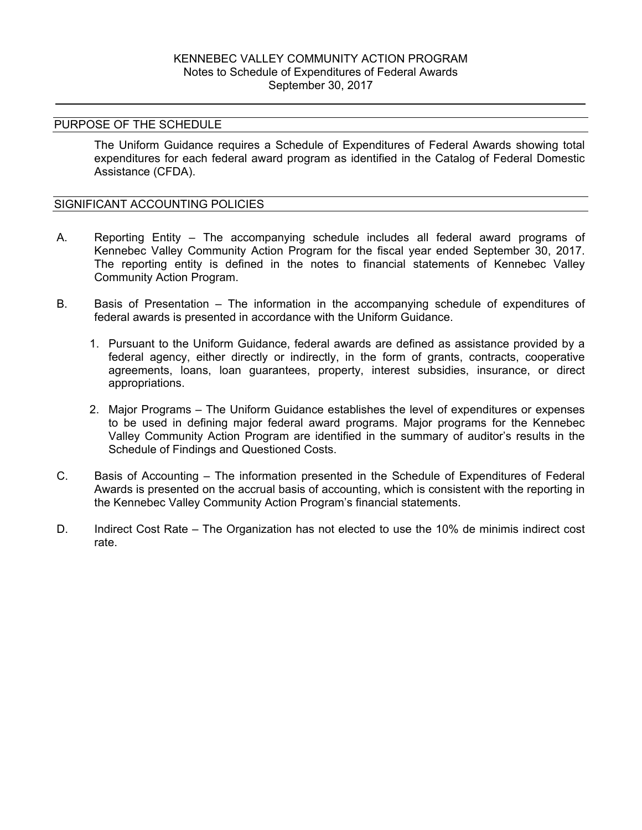#### PURPOSE OF THE SCHEDULE

The Uniform Guidance requires a Schedule of Expenditures of Federal Awards showing total expenditures for each federal award program as identified in the Catalog of Federal Domestic Assistance (CFDA).

## SIGNIFICANT ACCOUNTING POLICIES

- A. Reporting Entity The accompanying schedule includes all federal award programs of Kennebec Valley Community Action Program for the fiscal year ended September 30, 2017. The reporting entity is defined in the notes to financial statements of Kennebec Valley Community Action Program.
- B. Basis of Presentation The information in the accompanying schedule of expenditures of federal awards is presented in accordance with the Uniform Guidance.
	- 1. Pursuant to the Uniform Guidance, federal awards are defined as assistance provided by a federal agency, either directly or indirectly, in the form of grants, contracts, cooperative agreements, loans, loan guarantees, property, interest subsidies, insurance, or direct appropriations.
	- 2. Major Programs The Uniform Guidance establishes the level of expenditures or expenses to be used in defining major federal award programs. Major programs for the Kennebec Valley Community Action Program are identified in the summary of auditor's results in the Schedule of Findings and Questioned Costs.
- C. Basis of Accounting The information presented in the Schedule of Expenditures of Federal Awards is presented on the accrual basis of accounting, which is consistent with the reporting in the Kennebec Valley Community Action Program's financial statements.
- D. Indirect Cost Rate The Organization has not elected to use the 10% de minimis indirect cost rate.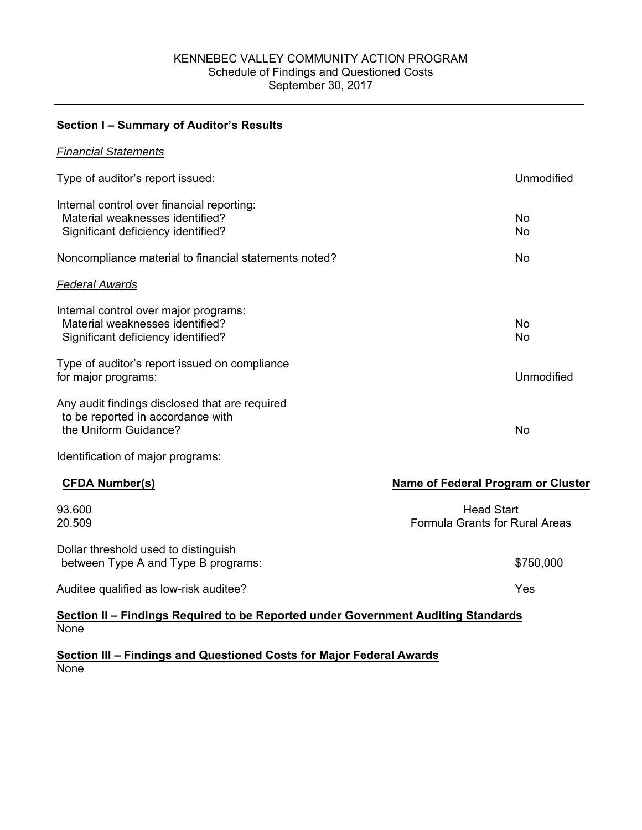## KENNEBEC VALLEY COMMUNITY ACTION PROGRAM Schedule of Findings and Questioned Costs September 30, 2017

## **Section I – Summary of Auditor's Results**

| <b>Financial Statements</b>                                                                                         |                                                            |
|---------------------------------------------------------------------------------------------------------------------|------------------------------------------------------------|
| Type of auditor's report issued:                                                                                    | Unmodified                                                 |
| Internal control over financial reporting:<br>Material weaknesses identified?<br>Significant deficiency identified? | <b>No</b><br>No                                            |
| Noncompliance material to financial statements noted?                                                               | No                                                         |
| <b>Federal Awards</b>                                                                                               |                                                            |
| Internal control over major programs:<br>Material weaknesses identified?<br>Significant deficiency identified?      | No<br><b>No</b>                                            |
| Type of auditor's report issued on compliance<br>for major programs:                                                | Unmodified                                                 |
| Any audit findings disclosed that are required<br>to be reported in accordance with<br>the Uniform Guidance?        | No                                                         |
| Identification of major programs:                                                                                   |                                                            |
| <b>CFDA Number(s)</b>                                                                                               | Name of Federal Program or Cluster                         |
| 93.600<br>20.509                                                                                                    | <b>Head Start</b><br><b>Formula Grants for Rural Areas</b> |
| Dollar threshold used to distinguish<br>between Type A and Type B programs:                                         | \$750,000                                                  |
| Auditee qualified as low-risk auditee?                                                                              | Yes                                                        |

**Section II – Findings Required to be Reported under Government Auditing Standards None** 

**Section III – Findings and Questioned Costs for Major Federal Awards None**